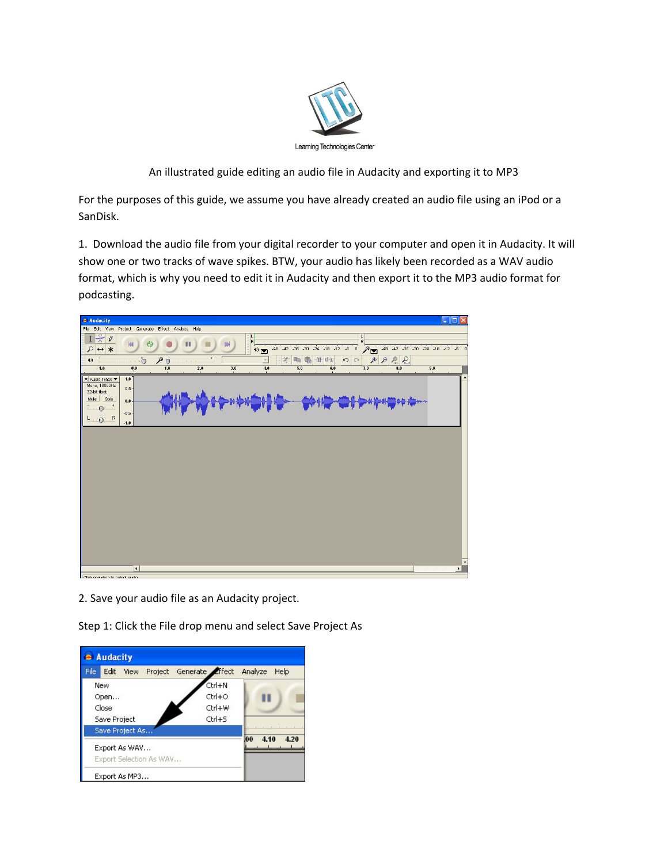

An illustrated guide editing an audio file in Audacity and exporting it to MP3

For the purposes of this guide, we assume you have already created an audio file using an iPod or a SanDisk.

1. Download the audio file from your digital recorder to your computer and open it in Audacity. It will show one or two tracks of wave spikes. BTW, your audio has likely been recorded as a WAV audio format, which is why you need to edit it in Audacity and then export it to the MP3 audio format for podcasting.



2. Save your audio file as an Audacity project.

Step 1: Click the File drop menu and select Save Project As

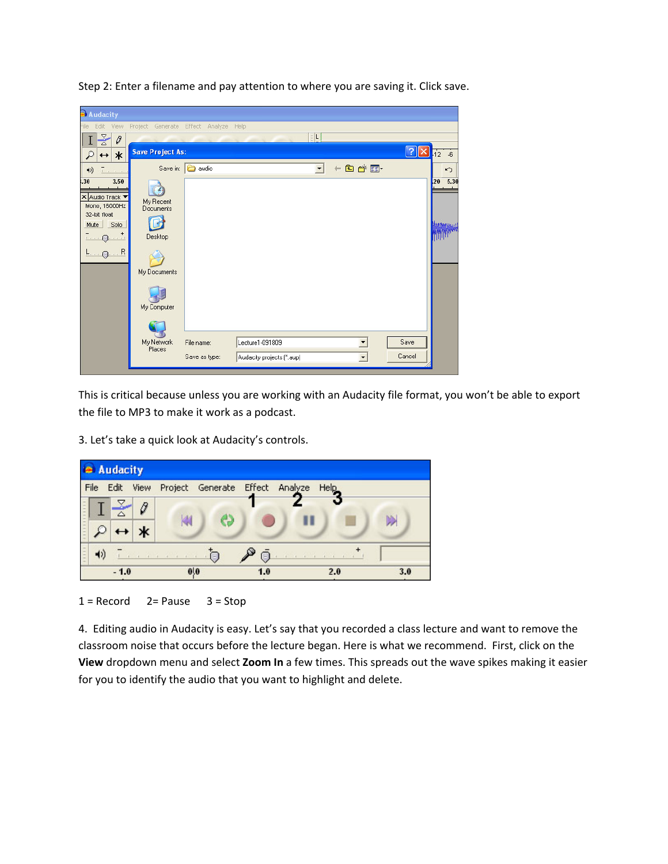| Audacity                                                                                                                            |                                                                  |                             |                                              |                      |                          |                            |                                                                 |
|-------------------------------------------------------------------------------------------------------------------------------------|------------------------------------------------------------------|-----------------------------|----------------------------------------------|----------------------|--------------------------|----------------------------|-----------------------------------------------------------------|
| Edit<br>View<br>File                                                                                                                | Project Generate Effect Analyze Help                             |                             |                                              |                      |                          |                            |                                                                 |
| $\frac{1}{\sqrt{2}}$<br>$\theta$                                                                                                    |                                                                  |                             |                                              | E L                  |                          |                            |                                                                 |
| ₽<br>$\ast$<br>$\leftrightarrow$                                                                                                    | <b>Save Project As:</b>                                          |                             |                                              |                      |                          | $\boxed{?} \boxed{\times}$ | $\sqrt{12}$<br>$-6$                                             |
| 41)<br>$\Gamma$ , , , ,                                                                                                             |                                                                  | Save in: <b>D</b> audio     |                                              | $\blacktriangledown$ | $+B$                     |                            | $\sim$                                                          |
| .30<br>3.50<br>X Audio Track<br>Mono, 16000Hz<br>32-bit float<br>Mute<br>Solo<br>$\cdots \mathbb{Q}$<br>$L_{\cdot}$ $Q_{\cdot}$ $R$ | My Recent<br>Documents<br>Desktop<br>My Documents<br>My Computer |                             |                                              |                      |                          |                            | 5.30<br>20<br>hartegar.<br><mark>A</mark> rtiffi <sup>nam</sup> |
|                                                                                                                                     | My Network<br>Places                                             | File name:<br>Save as type: | Lecture1-091809<br>Audacity projects (".aup) |                      | $\overline{\phantom{a}}$ | Save<br>Cancel             |                                                                 |

Step 2: Enter a filename and pay attention to where you are saving it. Click save.

This is critical because unless you are working with an Audacity file format, you won't be able to export the file to MP3 to make it work as a podcast.

3. Let's take a quick look at Audacity's controls.



 $1 =$  Record  $2 =$  Pause  $3 =$  Stop

4. Editing audio in Audacity is easy. Let's say that you recorded a class lecture and want to remove the classroom noise that occurs before the lecture began. Here is what we recommend. First, click on the **View** dropdown menu and select **Zoom In** a few times. This spreads out the wave spikes making it easier for you to identify the audio that you want to highlight and delete.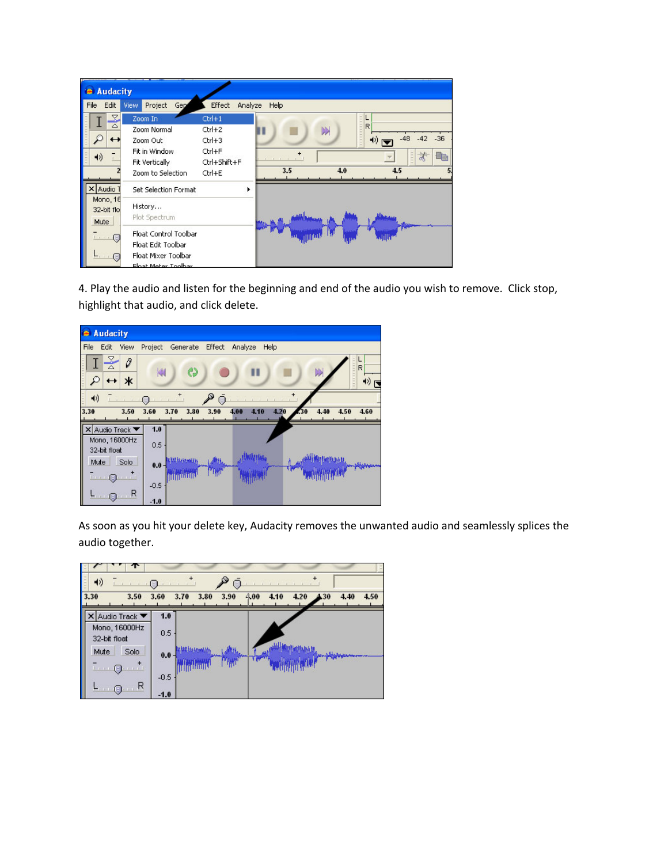| Audacity                                             |                                                                                             |                                                                                                                                                                                                       |
|------------------------------------------------------|---------------------------------------------------------------------------------------------|-------------------------------------------------------------------------------------------------------------------------------------------------------------------------------------------------------|
| File<br>Edit                                         | View<br>Project<br>Gep                                                                      | Effect<br>Analyze<br>Help                                                                                                                                                                             |
| Z<br>△<br>41)                                        | Zoom In<br>Zoom Normal<br>Zoom Out<br>Fit in Window.<br>Fit Vertically<br>Zoom to Selection | $Ctrl+1$<br>,,,,,,,,,,,<br>R<br>$Ctr1+2$<br>DD<br>$-36$<br>-48<br>$-42$<br>$Ctr1+3$<br>4) I<br>Ctrl+F<br>$\frac{1}{2}$<br>山林<br>o.<br><b>CONTRACTOR</b><br>Ctrl+Shift+F<br>3.5<br>4.0<br>45<br>Ctrl+E |
| Audio <sup>-</sup><br>Mono, 16<br>32-bit flo<br>Mute | Set Selection Format<br>History<br>Plot Spectrum                                            |                                                                                                                                                                                                       |
| $\cdots$ c                                           | Float Control Toolbar<br>Float Edit Toolbar<br>Float Mixer Toolbar<br>Float Meter Toolber   |                                                                                                                                                                                                       |

4. Play the audio and listen for the beginning and end of the audio you wish to remove. Click stop, highlight that audio, and click delete.

| Audacity                                                             |                               |                      |                                   |
|----------------------------------------------------------------------|-------------------------------|----------------------|-----------------------------------|
| File<br>Edit<br>View                                                 | Project<br>Generate<br>Effect | Analyze<br>Help      |                                   |
| $\frac{1}{\sqrt{2}}$<br>0<br>$\ast$<br>Ω<br>$\overline{\phantom{0}}$ | ♦<br>K                        |                      | L<br>1111111111<br>$\overline{R}$ |
| $\blacktriangleleft$                                                 |                               | ó                    |                                   |
| 3.30<br>3.50                                                         | 3.80<br>3.70<br>3.60<br>3.90  | 4.20<br>4.10<br>4.00 | 4.40<br>4.50<br>4.60              |
| X Audio Track ▼                                                      | 1.0                           |                      |                                   |
| Mono, 16000Hz                                                        | 0.5                           |                      |                                   |
| 32-bit float                                                         |                               |                      |                                   |
| Solo<br>Mute                                                         | $0.0 -$                       |                      |                                   |
| $\cdots 0$ $\cdots$                                                  |                               |                      |                                   |
|                                                                      | $-0.5$                        |                      |                                   |
| R<br>Θ                                                               | $-1.0$                        |                      |                                   |

As soon as you hit your delete key, Audacity removes the unwanted audio and seamlessly splices the audio together.

| 妙                               | ó           |              |      |              |      |            |      |
|---------------------------------|-------------|--------------|------|--------------|------|------------|------|
| 3.30<br>3.50                    | 3.60        | 3.80<br>3.70 | 3.90 | 4.00<br>4.10 | 4.20 | 4.40<br>30 | 4.50 |
| K Audio Track ▼                 | 1.0         |              |      |              |      |            |      |
| Mono, 16000Hz<br>32-bit float   | 0.5         |              |      |              |      |            |      |
| Solo<br>Mute<br>.               | $0.0 \cdot$ |              |      |              |      |            |      |
| <b>Financial</b><br>$=$<br>- 11 | $-0.5$      |              |      |              |      |            |      |
|                                 | $-1.0$      |              |      |              |      |            |      |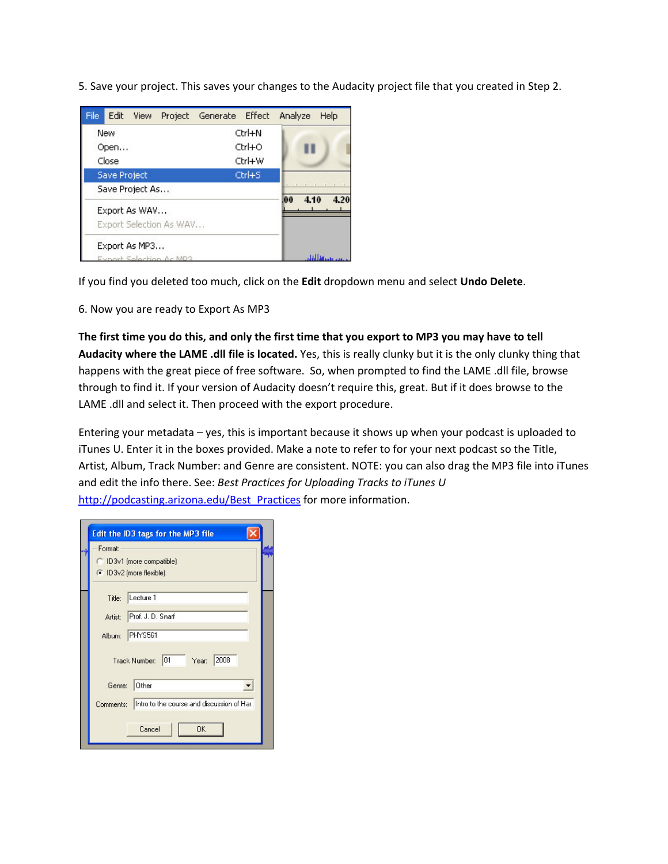5. Save your project. This saves your changes to the Audacity project file that you created in Step 2.

| Edit<br>File<br>View                     | Project Generate Effect<br>Analyze<br>Help |
|------------------------------------------|--------------------------------------------|
| New                                      | Ctrl+N                                     |
| Open                                     | Ctrl+O                                     |
| Close                                    | Ctrl+W                                     |
| <b>Save Project</b>                      | Ctrl+S                                     |
| Save Project As                          |                                            |
| Export As WAV<br>Export Selection As WAV | 4.20<br>.00<br>4.10                        |
| Export As MP3<br>Export Selection (      |                                            |

If you find you deleted too much, click on the **Edit** dropdown menu and select **Undo Delete**.

6. Now you are ready to Export As MP3

The first time you do this, and only the first time that you export to MP3 you may have to tell **Audacity where the LAME .dll file is located.** Yes, this is really clunky but it is the only clunky thing that happens with the great piece of free software.So, when prompted to find the LAME .dll file, browse through to find it. If your version of Audacity doesn't require this, great. But if it does browse to the LAME .dll and select it. Then proceed with the export procedure.

Entering your metadata – yes, this is important because it shows up when your podcast is uploaded to iTunes U. Enter it in the boxes provided. Make a note to refer to for your next podcast so the Title, Artist, Album, Track Number: and Genre are consistent. NOTE: you can also drag the MP3 file into iTunes and edit the info there. See: *Best Practices for Uploading Tracks to iTunes U* http://podcasting.arizona.edu/Best\_Practices for more information.

| Format:   |                                                      |
|-----------|------------------------------------------------------|
|           | C ID3v1 (more compatible)<br>C ID3v2 (more flexible) |
|           |                                                      |
| Title:    | Lecture 1                                            |
| Artist:   | Prof. J. D. Snarf                                    |
| Album:    | PHYS561                                              |
|           | 2008<br>$ 01 - Year $<br>Track Number:               |
| Genre:    | Other                                                |
| Comments: | Intro to the course and discussion of Har            |
|           |                                                      |